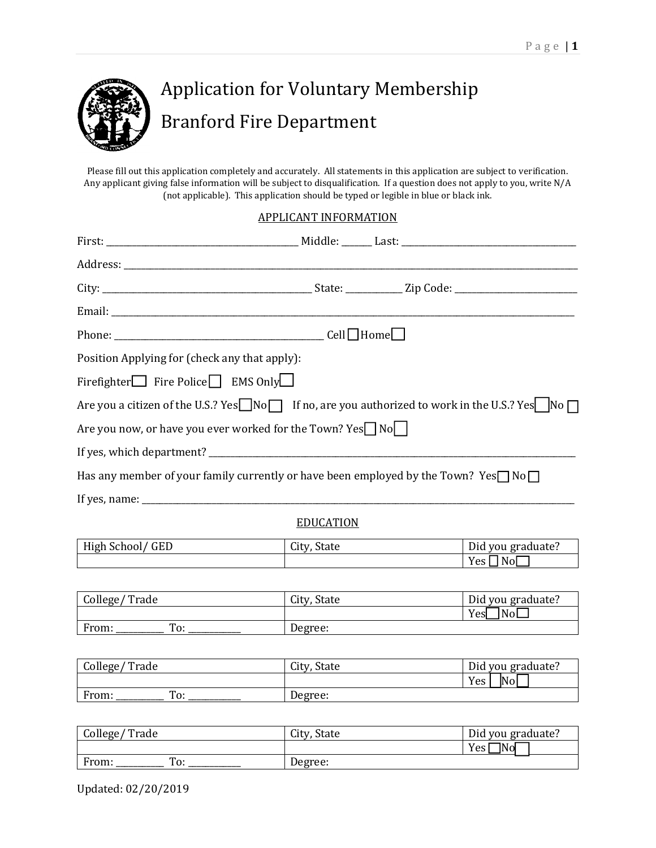

# Application for Voluntary Membership Branford Fire Department

Please fill out this application completely and accurately. All statements in this application are subject to verification. Any applicant giving false information will be subject to disqualification. If a question does not apply to you, write N/A (not applicable). This application should be typed or legible in blue or black ink.

#### APPLICANT INFORMATION

| Position Applying for (check any that apply):                                              |                                                                                                                         |
|--------------------------------------------------------------------------------------------|-------------------------------------------------------------------------------------------------------------------------|
| Firefighter $\Box$ Fire Police $\Box$ EMS Only                                             |                                                                                                                         |
|                                                                                            | Are you a citizen of the U.S.? Yes $\Box$ No $\Box$ If no, are you authorized to work in the U.S.? Yes $\Box$ No $\Box$ |
| Are you now, or have you ever worked for the Town? Yes $\Box$ No $\Box$                    |                                                                                                                         |
|                                                                                            |                                                                                                                         |
| Has any member of your family currently or have been employed by the Town? Yes $\nabla$ No |                                                                                                                         |
|                                                                                            |                                                                                                                         |
|                                                                                            |                                                                                                                         |

#### **EDUCATION**

| <b>High School</b><br>GED | $\sim$<br>tate<br>uty | $\mathbf{\mathbf{r}}$ .<br>graduate.<br><b>VOU</b><br>Diu |
|---------------------------|-----------------------|-----------------------------------------------------------|
|                           |                       | Noi.<br><b>Yes</b>                                        |

| College/<br>' Trade | City, State | Did you graduate? |
|---------------------|-------------|-------------------|
|                     |             | Yes<br>No         |
| From:<br>To:        | Degree:     |                   |

| College/Trade | City, State | Did you graduate? |
|---------------|-------------|-------------------|
|               |             | No<br>Yes         |
| From:<br>To:  | Degree:     |                   |

| College/Trade | City, State | Did you graduate? |
|---------------|-------------|-------------------|
|               |             | 7Nol<br>Yes       |
| To:<br>From:  | Degree:     |                   |

Updated: 02/20/2019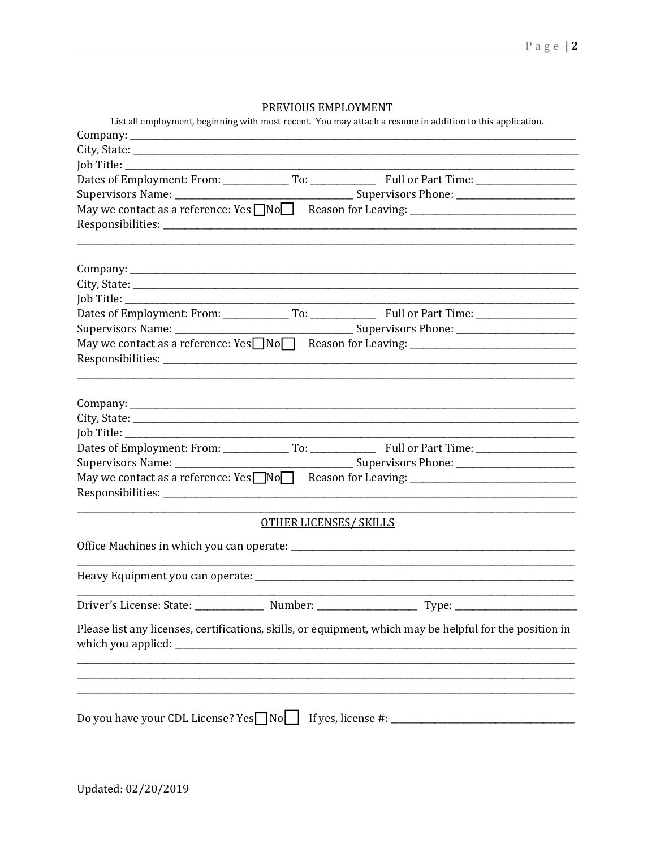#### PREVIOUS EMPLOYMENT

| List all employment, beginning with most recent. You may attach a resume in addition to this application. |
|-----------------------------------------------------------------------------------------------------------|
|                                                                                                           |
|                                                                                                           |
|                                                                                                           |
|                                                                                                           |
|                                                                                                           |
|                                                                                                           |
|                                                                                                           |
|                                                                                                           |
|                                                                                                           |
|                                                                                                           |
|                                                                                                           |
| May we contact as a reference: Yes Non Reason for Leaving: _____________________                          |
|                                                                                                           |
|                                                                                                           |
|                                                                                                           |
|                                                                                                           |
|                                                                                                           |
|                                                                                                           |
|                                                                                                           |
| May we contact as a reference: Yes NoO Reason for Leaving: _____________________                          |
| <b>OTHER LICENSES/ SKILLS</b>                                                                             |
|                                                                                                           |
|                                                                                                           |
|                                                                                                           |
| Please list any licenses, certifications, skills, or equipment, which may be helpful for the position in  |
|                                                                                                           |
| ,我们的人们就会在这里的人们,我们也不会在这里的人们,我们也不会在这里的人们,我们也不会在这里的人们,我们也不会在这里的人们,我们也不会在这里的人们,我们也不会                          |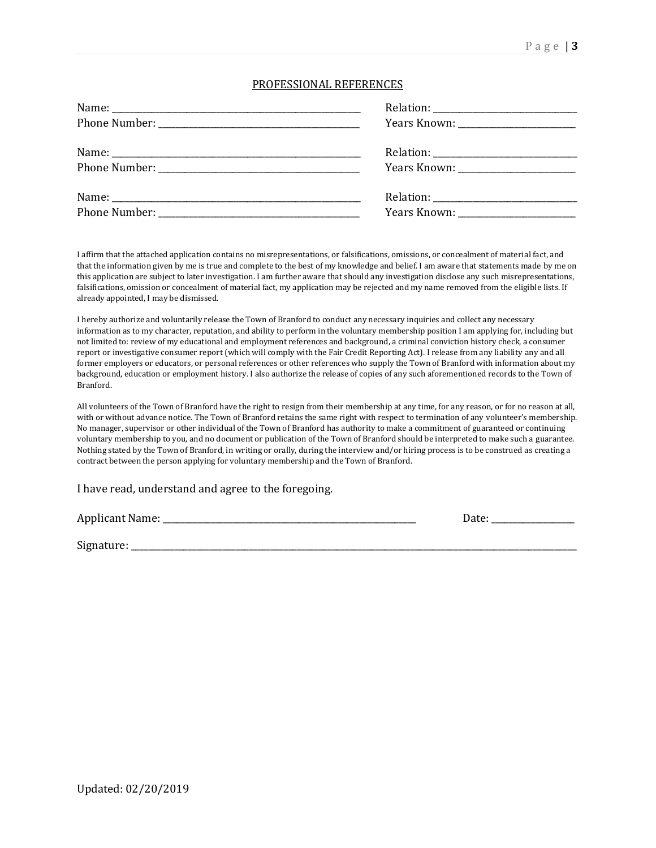#### PROFESSIONAL REFERENCES

| Years Known: ______________________ |
|-------------------------------------|
|                                     |
|                                     |
|                                     |
|                                     |

I affirm that the attached application contains no misrepresentations, or falsifications, omissions, or concealment of material fact, and that the information given by me is true and complete to the best of my knowledge and belief. I am aware that statements made by me on this application are subject to later investigation. I am further aware that should any investigation disclose any such misrepresentations, falsifications, omission or concealment of material fact, my application may be rejected and my name removed from the eligible lists. If already appointed, I may be dismissed.

I hereby authorize and voluntarily release the Town of Branford to conduct any necessary inquiries and collect any necessary information as to my character, reputation, and ability to perform in the voluntary membership position I am applying for, including but not limited to: review of my educational and employment references and background, a criminal conviction history check, a consumer report or investigative consumer report (which will comply with the Fair Credit Reporting Act). I release from any liability any and all former employers or educators, or personal references or other references who supply the Town of Branford with information about my background, education or employment history. I also authorize the release of copies of any such aforementioned records to the Town of Branford.

All volunteers of the Town of Branford have the right to resign from their membership at any time, for any reason, or for no reason at all, with or without advance notice. The Town of Branford retains the same right with respect to termination of any volunteer's membership. No manager, supervisor or other individual of the Town of Branford has authority to make a commitment of guaranteed or continuing voluntary membership to you, and no document or publication of the Town of Branford should be interpreted to make such a guarantee. Nothing stated by the Town of Branford, in writing or orally, during the interview and/or hiring process is to be construed as creating a contract between the person applying for voluntary membership and the Town of Branford.

I have read, understand and agree to the foregoing.

Applicant Name: \_\_\_\_\_\_\_\_\_\_\_\_\_\_\_\_\_\_\_\_\_\_\_\_\_\_\_\_\_\_\_\_\_\_\_\_\_\_\_\_\_\_\_\_\_\_\_\_\_\_\_\_\_\_\_\_\_\_ Date: \_\_\_\_\_\_\_\_\_\_\_\_\_\_\_\_\_\_\_

Signature: \_\_\_\_\_\_\_\_\_\_\_\_\_\_\_\_\_\_\_\_\_\_\_\_\_\_\_\_\_\_\_\_\_\_\_\_\_\_\_\_\_\_\_\_\_\_\_\_\_\_\_\_\_\_\_\_\_\_\_\_\_\_\_\_\_\_\_\_\_\_\_\_\_\_\_\_\_\_\_\_\_\_\_\_\_\_\_\_\_\_\_\_\_\_\_\_\_\_\_\_\_\_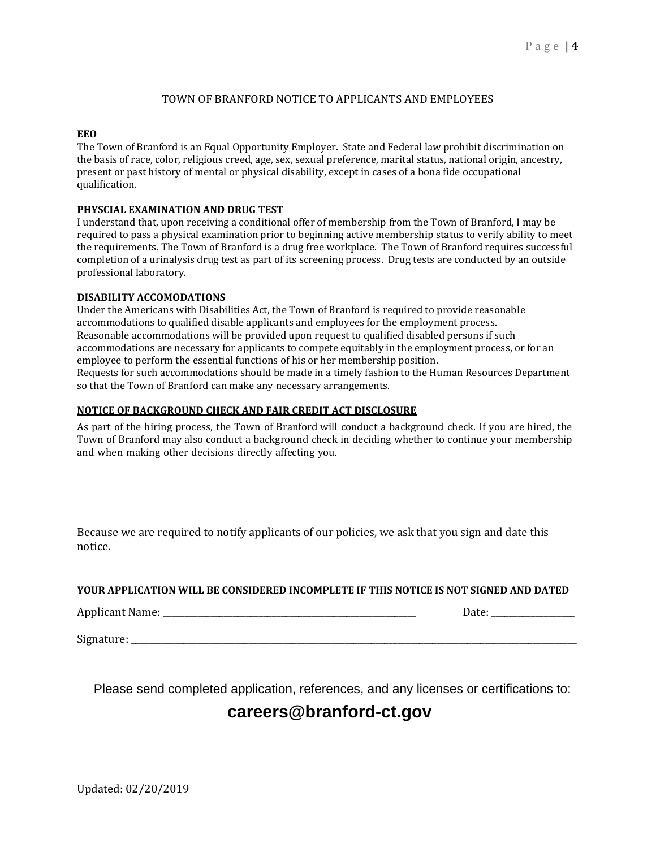#### TOWN OF BRANFORD NOTICE TO APPLICANTS AND EMPLOYEES

#### **EEO**

The Town of Branford is an Equal Opportunity Employer. State and Federal law prohibit discrimination on the basis of race, color, religious creed, age, sex, sexual preference, marital status, national origin, ancestry, present or past history of mental or physical disability, except in cases of a bona fide occupational qualification.

#### **PHYSCIAL EXAMINATION AND DRUG TEST**

I understand that, upon receiving a conditional offer of membership from the Town of Branford, I may be required to pass a physical examination prior to beginning active membership status to verify ability to meet the requirements. The Town of Branford is a drug free workplace. The Town of Branford requires successful completion of a urinalysis drug test as part of its screening process. Drug tests are conducted by an outside professional laboratory.

#### **DISABILITY ACCOMODATIONS**

Under the Americans with Disabilities Act, the Town of Branford is required to provide reasonable accommodations to qualified disable applicants and employees for the employment process. Reasonable accommodations will be provided upon request to qualified disabled persons if such accommodations are necessary for applicants to compete equitably in the employment process, or for an employee to perform the essential functions of his or her membership position. Requests for such accommodations should be made in a timely fashion to the Human Resources Department so that the Town of Branford can make any necessary arrangements.

#### **NOTICE OF BACKGROUND CHECK AND FAIR CREDIT ACT DISCLOSURE**

As part of the hiring process, the Town of Branford will conduct a background check. If you are hired, the Town of Branford may also conduct a background check in deciding whether to continue your membership and when making other decisions directly affecting you.

Because we are required to notify applicants of our policies, we ask that you sign and date this notice.

#### **YOUR APPLICATION WILL BE CONSIDERED INCOMPLETE IF THIS NOTICE IS NOT SIGNED AND DATED**

Applicant Name: \_\_\_\_\_\_\_\_\_\_\_\_\_\_\_\_\_\_\_\_\_\_\_\_\_\_\_\_\_\_\_\_\_\_\_\_\_\_\_\_\_\_\_\_\_\_\_\_\_\_\_\_\_\_\_\_\_\_ Date: \_\_\_\_\_\_\_\_\_\_\_\_\_\_\_\_\_\_\_

Signature:

Please send completed application, references, and any licenses or certifications to:

### **careers@branford-ct.gov**